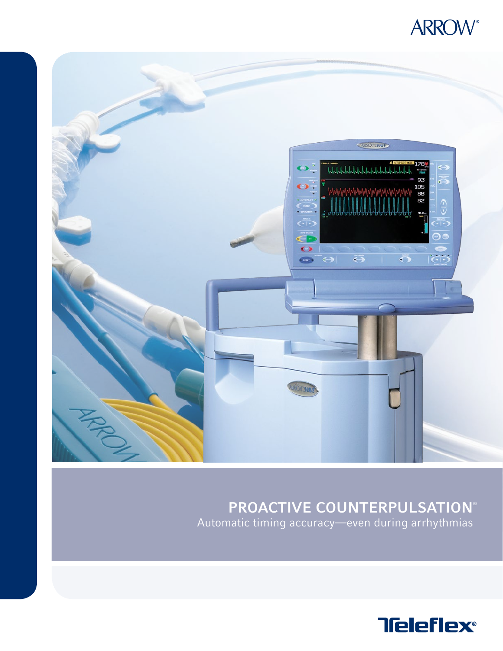



# PROACTIVE COUNTERPULSATION Automatic timing accuracy—even during arrhythmias

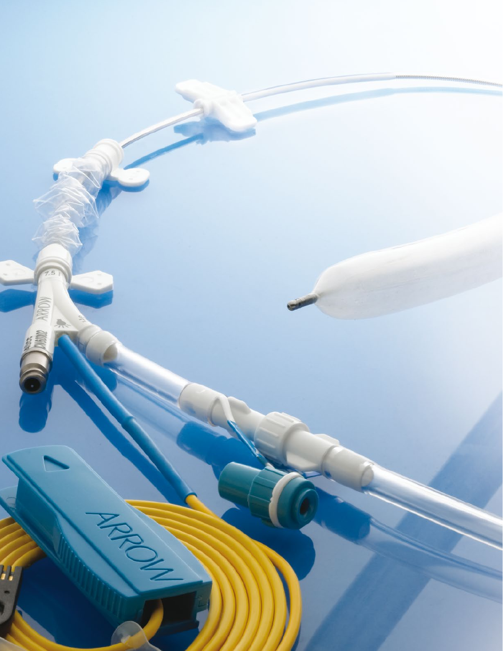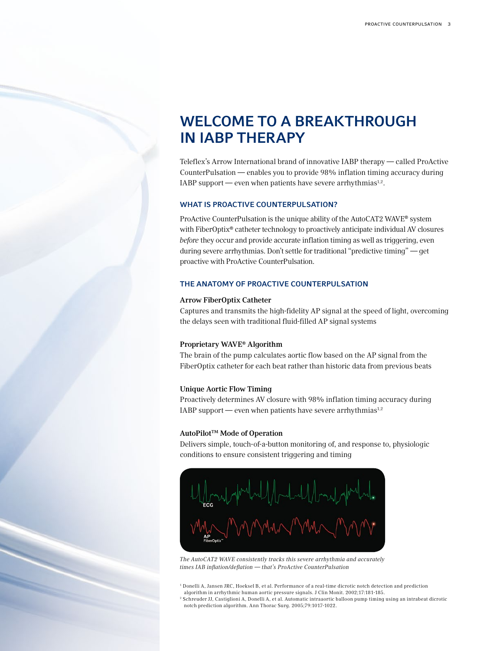# WELCOME TO A BREAKTHROUGH IN IABP THERAPY

Teleflex's Arrow International brand of innovative IABP therapy — called ProActive CounterPulsation — enables you to provide 98% inflation timing accuracy during IABP support — even when patients have severe arrhythmias<sup>1,2</sup>.

#### WHAT IS PROACTIVE COUNTERPULSATION?

ProActive CounterPulsation is the unique ability of the AutoCAT2 WAVE® system with FiberOptix® catheter technology to proactively anticipate individual AV closures before they occur and provide accurate inflation timing as well as triggering, even during severe arrhythmias. Don't settle for traditional "predictive timing" — get proactive with ProActive CounterPulsation.

## THE ANATOMY OF PROACTIVE COUNTERPULSATION

#### Arrow FiberOptix Catheter

Captures and transmits the high-fidelity AP signal at the speed of light, overcoming the delays seen with traditional fluid-filled AP signal systems

#### Proprietary WAVE® Algorithm

The brain of the pump calculates aortic flow based on the AP signal from the FiberOptix catheter for each beat rather than historic data from previous beats

#### Unique Aortic Flow Timing

Proactively determines AV closure with 98% inflation timing accuracy during IABP support — even when patients have severe arrhythmias<sup>1,2</sup>

## AutoPilot<sup>™</sup> Mode of Operation

Delivers simple, touch-of-a-button monitoring of, and response to, physiologic conditions to ensure consistent triggering and timing



The AutoCAT2 WAVE consistently tracks this severe arrhythmia and accurately times IAB inflation/deflation — that's ProActive CounterPulsation

1 Donelli A, Jansen JRC, Hoeksel B, et al. Performance of a real-time dicrotic notch detection and prediction algorithm in arrhythmic human aortic pressure signals. J Clin Monit. 2002;17:181-185.

2 Schreuder JJ, Castiglioni A, Donelli A, et al. Automatic intraaortic balloon pump timing using an intrabeat dicrotic notch prediction algorithm. Ann Thorac Surg. 2005;79:1017-1022.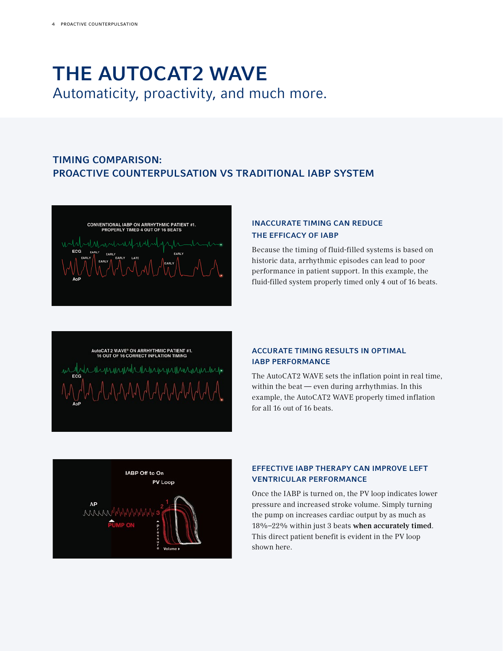# THE AUTOCAT2 WAVE Automaticity, proactivity, and much more.

# TIMING COMPARISON: PROACTIVE COUNTERPULSATION VS TRADITIONAL IABP SYSTEM



# INACCURATE TIMING CAN REDUCE THE EFFICACY OF IABP

Because the timing of fluid-filled systems is based on historic data, arrhythmic episodes can lead to poor performance in patient support. In this example, the fluid-filled system properly timed only 4 out of 16 beats.



# ACCURATE TIMING RESULTS IN OPTIMAL IABP PERFORMANCE

The AutoCAT2 WAVE sets the inflation point in real time, within the beat — even during arrhythmias. In this example, the AutoCAT2 WAVE properly timed inflation for all 16 out of 16 beats.



# EFFECTIVE IABP THERAPY CAN IMPROVE LEFT VENTRICULAR PERFORMANCE

Once the IABP is turned on, the PV loop indicates lower pressure and increased stroke volume. Simply turning the pump on increases cardiac output by as much as 18%–22% within just 3 beats when accurately timed. This direct patient benefit is evident in the PV loop shown here.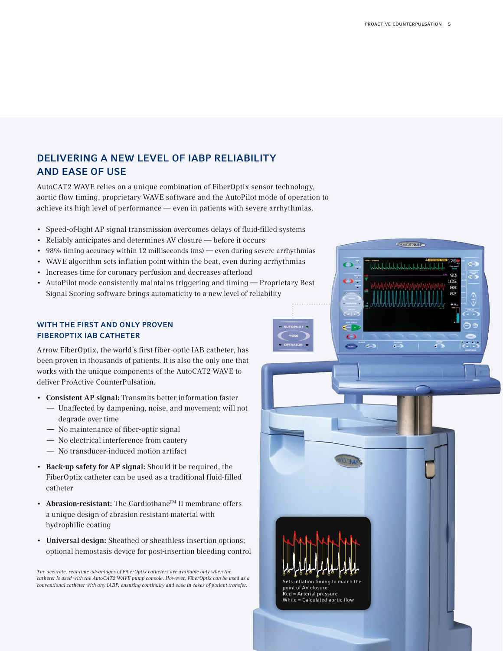**CARSO TRAVE** 

# DELIVERING A NEW LEVEL OF IABP RELIABILITY AND EASE OF USE

AutoCAT2 WAVE relies on a unique combination of FiberOptix sensor technology, aortic flow timing, proprietary WAVE software and the AutoPilot mode of operation to achieve its high level of performance — even in patients with severe arrhythmias.

- Speed-of-light AP signal transmission overcomes delays of fluid-filled systems
- Reliably anticipates and determines AV closure before it occurs
- 98% timing accuracy within 12 milliseconds (ms) even during severe arrhythmias
- WAVE algorithm sets inflation point within the beat, even during arrhythmias
- Increases time for coronary perfusion and decreases afterload
- AutoPilot mode consistently maintains triggering and timing Proprietary Best Signal Scoring software brings automaticity to a new level of reliability

# WITH THE FIRST AND ONLY PROVEN FIBEROPTIX IAB CATHETER

Arrow FiberOptix, the world's first fiber-optic IAB catheter, has been proven in thousands of patients. It is also the only one that works with the unique components of the AutoCAT2 WAVE to deliver ProActive CounterPulsation.

- Consistent AP signal: Transmits better information faster
	- Unaffected by dampening, noise, and movement; will not degrade over time
	- No maintenance of fiber-optic signal
	- No electrical interference from cautery
	- No transducer-induced motion artifact
- Back-up safety for AP signal: Should it be required, the FiberOptix catheter can be used as a traditional fluid-filled catheter
- Abrasion-resistant: The Cardiothane<sup>TM</sup> II membrane offers a unique design of abrasion resistant material with hydrophilic coating
- Universal design: Sheathed or sheathless insertion options; optional hemostasis device for post-insertion bleeding control

The accurate, real-time advantages of FiberOptix catheters are available only when the catheter is used with the AutoCAT2 WAVE pump console. However, FiberOptix can be used as a conventional catheter with any IABP, ensuring continuity and ease in cases of patient transfer.

inflation timing to mate pint of AV closure .<br>Red = Arterial pressure  $White = Calculated aortic flow$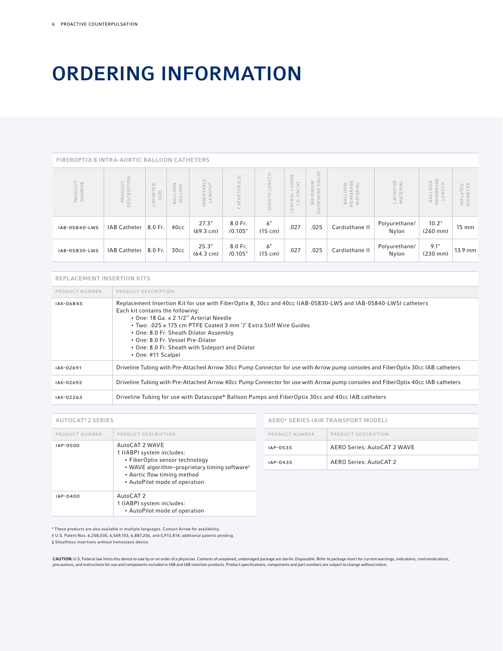# ORDERING INFORMATION

#### FIBEROPTIX 8 INTRA-AORTIC BALLOON CATHETERS

| PRODUCT<br>NUMBER | $\leq$<br>UCT<br>$\overline{a}$<br>$\mathbf{L}$<br>PRODI<br>$\hspace{0.1mm}-\hspace{0.1mm}$<br><b>DESCRI</b> | TER<br>SIZE<br><b>HE</b><br>$\overline{a}$<br>$\circ$ | BALLOON<br>VOLUME | INSERTABLE<br>LENGTH <sup>‡</sup> | O.D.<br>HETER<br>CATI | I<br>LENGT<br>ATH<br>SHE. | IL LUMEN<br>RAI<br>$\overline{\phantom{0}}$<br>$\Box$<br>$\frac{1}{2}$<br>$\qquad \qquad$<br>U | INCH)<br>MUNIXA<br>$\overline{\phantom{0}}$<br>$\stackrel{\scriptscriptstyle{\text{E}}}{\scriptscriptstyle{\text{K}}}$<br>$\hspace{0.1mm}-\hspace{0.1mm}$<br>$\geq$<br>$\Box$<br>$\geq$<br>$\overline{5}$ | BALLOON<br>MEMBRANE<br>MATERIAL | TER<br>21 AL<br>$\overline{\alpha}$<br>CATHE <sup>-</sup><br>MATER | MEMBRANE<br>LENGTH<br>BALLOON | $\mathbb{E}$<br>$\square$<br>$\vdash$<br>1Z<br>$\overline{M}$<br>$\hspace{0.1in} \rule{0.1ex}{0.1ex}$<br>$\geq$<br>DIAI |
|-------------------|--------------------------------------------------------------------------------------------------------------|-------------------------------------------------------|-------------------|-----------------------------------|-----------------------|---------------------------|------------------------------------------------------------------------------------------------|-----------------------------------------------------------------------------------------------------------------------------------------------------------------------------------------------------------|---------------------------------|--------------------------------------------------------------------|-------------------------------|-------------------------------------------------------------------------------------------------------------------------|
| IAB-05840-LWS     | IAB Catheter                                                                                                 | $8.0$ Fr.                                             | 40cc              | 27.3"<br>(69.3 cm)                | 8.0 Fr.<br>/0.105"    | 6"<br>$(15 \text{ cm})$   | .027                                                                                           | .025                                                                                                                                                                                                      | Cardiothane II                  | Polyurethane/<br>Nylon                                             | 10.2"<br>$(260$ mm $)$        | $15 \text{ mm}$                                                                                                         |
| IAB-05830-LWS     | IAB Catheter                                                                                                 | 8.0 Fr.                                               | 30 <sub>cc</sub>  | 25.3"                             | 8.0 Fr.               | 6"                        | .027                                                                                           | .025                                                                                                                                                                                                      | Cardiothane II                  | Polyurethane/                                                      | 9.1"                          | $13.9$ mm                                                                                                               |

#### REPLACEMENT INSERTION KITS

| PRODUCT NUMBER | PRODUCT DESCRIPTION                                                                                                                                                                                                                                                                                                                                                                                                       |
|----------------|---------------------------------------------------------------------------------------------------------------------------------------------------------------------------------------------------------------------------------------------------------------------------------------------------------------------------------------------------------------------------------------------------------------------------|
| IAK-06845      | Replacement Insertion Kit for use with FiberOptix 8, 30cc and 40cc (IAB-05830-LWS and IAB-05840-LWS) catheters<br>Each kit contains the following:<br>• One: 18 Ga. x 2 1/2" Arterial Needle<br>• Two: .025 x 175 cm PTFE Coated 3 mm 'J' Extra Stiff Wire Guides<br>• One: 8.0 Fr. Sheath Dilator Assembly<br>• One: 8.0 Fr. Vessel Pre-Dilator<br>• One: 8.0 Fr. Sheath with Sideport and Dilator<br>• One: #11 Scalpel |
| IAK-02691      | Driveline Tubing with Pre-Attached Arrow 30cc Pump Connector for use with Arrow pump consoles and FiberOptix 30cc IAB catheters                                                                                                                                                                                                                                                                                           |
| IAK-02692      | Driveline Tubing with Pre-Attached Arrow 40cc Pump Connector for use with Arrow pump consoles and FiberOptix 40cc IAB catheters                                                                                                                                                                                                                                                                                           |
| IAK-02263      | Driveline Tubing for use with Datascope® Balloon Pumps and FiberOptix 30cc and 40cc IAB catheters                                                                                                                                                                                                                                                                                                                         |

| AUTOCAT <sup>®</sup> 2 SERIES |                                                                                                                                                             | AERO® SERIES (AIR TRANSPORT MODEL) |                             |  |  |
|-------------------------------|-------------------------------------------------------------------------------------------------------------------------------------------------------------|------------------------------------|-----------------------------|--|--|
| PRODUCT NUMBER                | PRODUCT DESCRIPTION                                                                                                                                         | PRODUCT NUMBER                     | PRODUCT DESCRIPTION         |  |  |
| IAP-0500                      | AutoCAT 2 WAVE<br>1 (IABP) system includes:                                                                                                                 | IAP-0535                           | AERO Series: AutoCAT 2 WAVE |  |  |
|                               | • FiberOptix sensor technology<br>• WAVE algorithm-proprietary timing software <sup>†</sup><br>• Aortic flow timing method<br>• AutoPilot mode of operation | IAP-0435                           | AERO Series: AutoCAT 2      |  |  |
| IAP-0400                      | AutoCAT 2<br>1 (IABP) system includes:<br>• AutoPilot mode of operation                                                                                     |                                    |                             |  |  |

\* These products are also available in multiple languages. Contact Arrow for availability.

† U.S. Patent Nos. 6,258,035, 6,569,103, 6,887,206, and 5,913,814; additional patents pending.

‡ Sheathless insertions without hemostasis device.

CAUTION: U.S. Federal law limits this device to sale by or on order of a physician. Contents of unopened, undamaged package are sterile. Disposable. Refer to package insert for current warnings, indications, contraindicati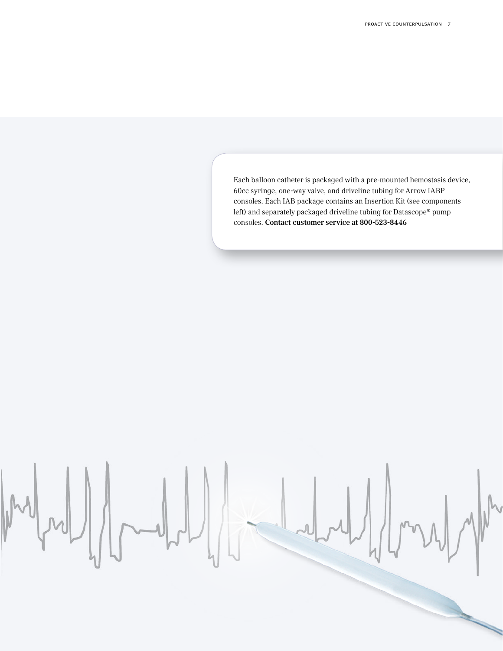Each balloon catheter is packaged with a pre-mounted hemostasis device, 60cc syringe, one-way valve, and driveline tubing for Arrow IABP consoles. Each IAB package contains an Insertion Kit (see components left) and separately packaged driveline tubing for Datascope® pump consoles. Contact customer service at 800-523-8446